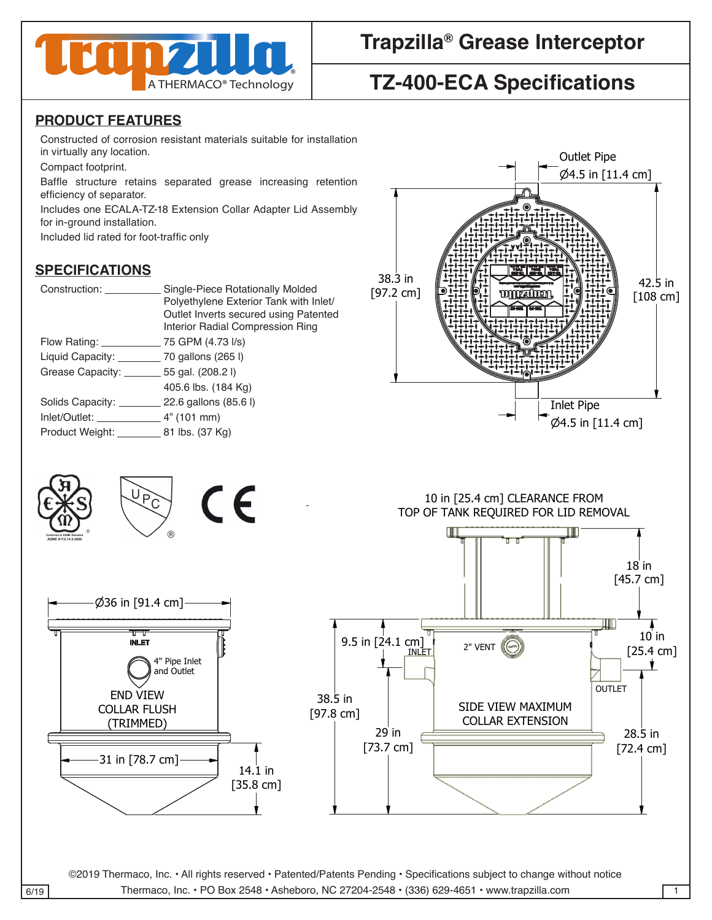

# **Trapzilla® Grease Interceptor**

# **TZ-400-ECA Specifications**

### **PRODUCT FEATURES**

Constructed of corrosion resistant materials suitable for installation in virtually any location.

Compact footprint.

Baffle structure retains separated grease increasing retention efficiency of separator.

Includes one ECALA-TZ-18 Extension Collar Adapter Lid Assembly for in-ground installation.

Included lid rated for foot-traffic only 4

#### **SPECIFICATIONS**

38.3 in [97.2 cm]

| Construction:                                    | Single-Piece Rotationally Molded<br>Polyethylene Exterior Tank with Inlet/<br>Outlet Inverts secured using Patented<br>Interior Radial Compression Ring |
|--------------------------------------------------|---------------------------------------------------------------------------------------------------------------------------------------------------------|
| Flow Rating: <u>_______</u>                      | 75 GPM (4.73 I/s)                                                                                                                                       |
| Liquid Capacity: ____________ 70 gallons (265 l) |                                                                                                                                                         |
| Grease Capacity: ________ 55 gal. (208.2 l)      |                                                                                                                                                         |
|                                                  | 405.6 lbs. (184 Kg)                                                                                                                                     |
| Solids Capacity: 22.6 gallons (85.6 l)           |                                                                                                                                                         |
|                                                  |                                                                                                                                                         |
| Product Weight: 81 lbs. (37 Kg)                  |                                                                                                                                                         |
|                                                  |                                                                                                                                                         |





©2019 Thermaco, Inc. • All rights reserved • Patented/Patents Pending • Specifications subject to change without notice  $\overline{6/19}$  Thermaco, Inc. • PO Box 2548 • Asheboro, NC 27204-2548 • (336) 629-4651 • www.trapzilla.com . All rights reserved · Patented/Patents Pending · Specifications subject to change without noti-CHECKED SIZE REV. NO. DWG NO. without notice

WEITTEN CONSENT FROM THE REMAINING DOES NOT THIS DRAWING DOES NOT THIS DRAWING DOES NOT CONSTITUTE THE RIGHT TO

WEITTEN CONSENT FROM THE REMAINING DOES NOT THIS DRAWING DOES NOT THIS DRAWING DOES NOT CONSTITUTE THE RIGHT TO

A A

A A

PART NO. <sup>C</sup>